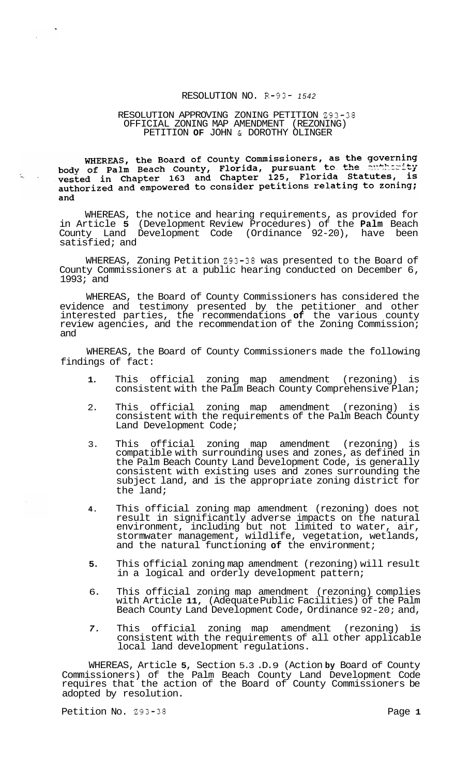### RESOLUTION NO. R-93- *<sup>1542</sup>*

### RESOLUTION APPROVING ZONING PETITION 293-38 OFFICIAL ZONING MAP AMENDMENT (REZONING) PETITION **OF** JOHN & DOROTHY OLINGER

WHEREAS, the Board of County Commissioners, as the governing<br>body of Palm Beach County, Florida, pursuant to the authority<br>vested in Chapter 163 and Chapter 125, Florida Statutes, is authorized and empowered to consider petitions relating to zoning; and

WHEREAS, the notice and hearing requirements, as provided for in Article **5** (Development Review Procedures) of the **Palm** Beach County Land Development Code (Ordinance 92-20), have been satisfied; and

WHEREAS, Zoning Petition 293-38 was presented to the Board of County Commissioners at a public hearing conducted on December 6, 1993; and

WHEREAS, the Board of County Commissioners has considered the evidence and testimony presented by the petitioner and other interested parties, the recommendations **of** the various county review agencies, and the recommendation of the Zoning Commission; and

WHEREAS, the Board of County Commissioners made the following findings of fact:

- **1.** This official zoning map amendment (rezoning) is consistent with the Palm Beach County Comprehensive Plan;
- 2. This official zoning map amendment (rezoning) is consistent with the requirements of the Palm Beach County Land Development Code;
- 3. This official zoning map amendment (rezoning) is compatible with surrounding uses and zones, as defined in the Palm Beach County Land Development Code, is generally consistent with existing uses and zones surrounding the subject land, and is the appropriate zoning district for the land;
- **4.** This official zoning map amendment (rezoning) does not result in significantly adverse impacts on the natural environment, including but not limited to water, air, stormwater management, wildlife, vegetation, wetlands, and the natural functioning **of** the environment;
- **5.** This official zoning map amendment (rezoning) will result in a logical and orderly development pattern;
- 6. This official zoning map amendment (rezoning) complies with Article **11,** (Adequate Public Facilities) of the Palm Beach County Land Development Code, Ordinance 92-20; and,
- *7.* This official zoning map amendment (rezoning) is consistent with the requirements of all other applicable local land development regulations.

WHEREAS, Article **5,** Section 5.3 .D. 9 (Action **by** Board of County Commissioners) of the Palm Beach County Land Development Code requires that the action of the Board of County Commissioners be adopted by resolution.

Petition No. 293-38 **Page 1**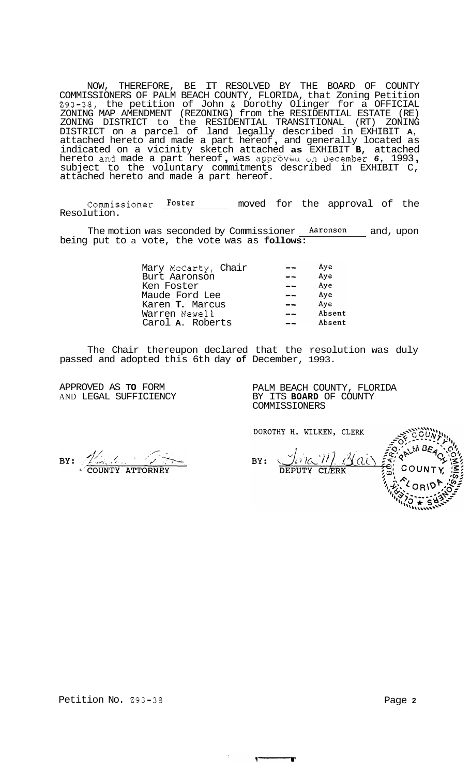NOW, THEREFORE, BE IT RESOLVED BY THE BOARD OF COUNTY COMMISSIONERS OF PALM BEACH COUNTY, FLORIDA, that Zoning Petition 293-38, the petition of John & Dorothy Olinger for a OFFICIAL ZONING MAP AMENDMENT (REZONING) from the RESIDENTIAL ESTATE (RE) ZONING DISTRICT to the RESIDENTIAL TRANSITIONAL (RT) ZONING DISTRICT on a parcel of land legally described in EXHIBIT **A,**  attached hereto and made a part hereof , and generally located as indicated on a vicinity sketch attached **as** EXHIBIT **B,** attached hereto and made a part hereof, was approved on December 6, 1993, subject to the voluntary commitments described in EXHIBIT C, attached hereto and made a part hereof.

Commissioner Foster \_ moved for the approval of the Resolution.

The motion was seconded by Commissioner Aaronson and, upon being put to a vote, the vote was as **follows:** 

| Mary McCarty, Chair      | Aye    |
|--------------------------|--------|
| Burt Aaronson            | Aye    |
| Ken Foster               | Aye    |
| Maude Ford Lee           | Aye    |
| Karen <b>T.</b> Marcus   | Ave    |
| Warren Newell            | Absent |
| Carol <b>A</b> . Roberts | Absent |
|                          |        |

The Chair thereupon declared that the resolution was duly passed and adopted this 6th day **of** December, 1993.

APPROVED AS **TO** FORM AND LEGAL SUFFICIENCY

PALM BEACH COUNTY, FLORIDA BY ITS **BOARD** OF COUNTY COMMISSIONERS

DOROTHY H. WILKEN, CLERK

 $\overline{ }$ 

<u>JAR WAY</u> BY:

COUNTY

BY: 200NTY ATTORNEY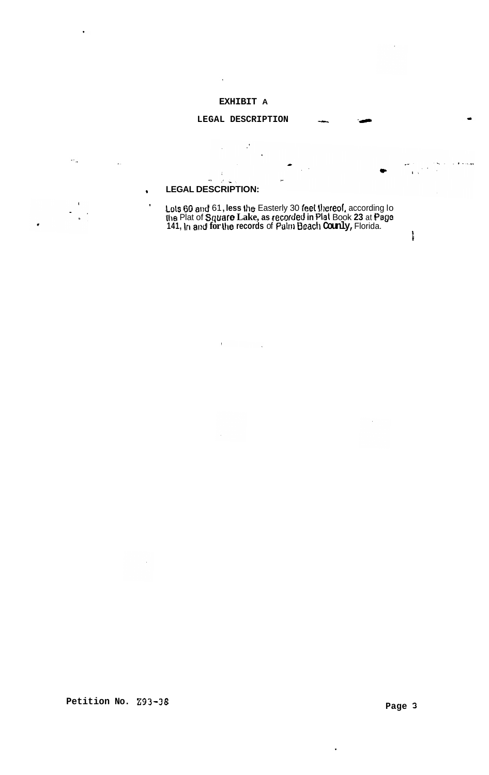## EXHIBIT A

 $\bar{1}$ 

# LEGAL DESCRIPTION

 $\cdot$ <sup>'</sup>

 $\ddot{\phantom{a}}$ 

 $\overline{\phantom{a}}$ 

# **LEGAL DESCRIPTION:**

 $\bullet$ 

 $\rightarrow$ 

 $\mathcal{F} \in \mathbb{Q}$ 

 $^\prime$ 

 $\ddotsc$ 

 $\mathbb{R}^{\mathbb{Z}_2}$ 

Lots 60 and 61, less the Easterly 30 feet thereof, according lo<br>the Plat of Square Lake, as recorded in Plat Book 23 at Page<br>141, in and for the records of Palm Beach Counly, Florida.

 $\ddot{ }$ 

 $\ddot{\phantom{0}}$ 

وويرده

 $\mathbf{I}$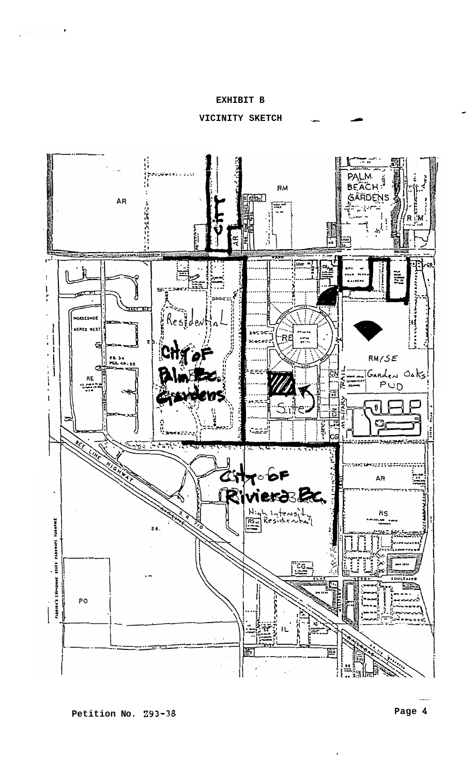## **EXHIBIT B**

 $\sim$ 

 $\sim$ 

**VICINITY SKETCH**